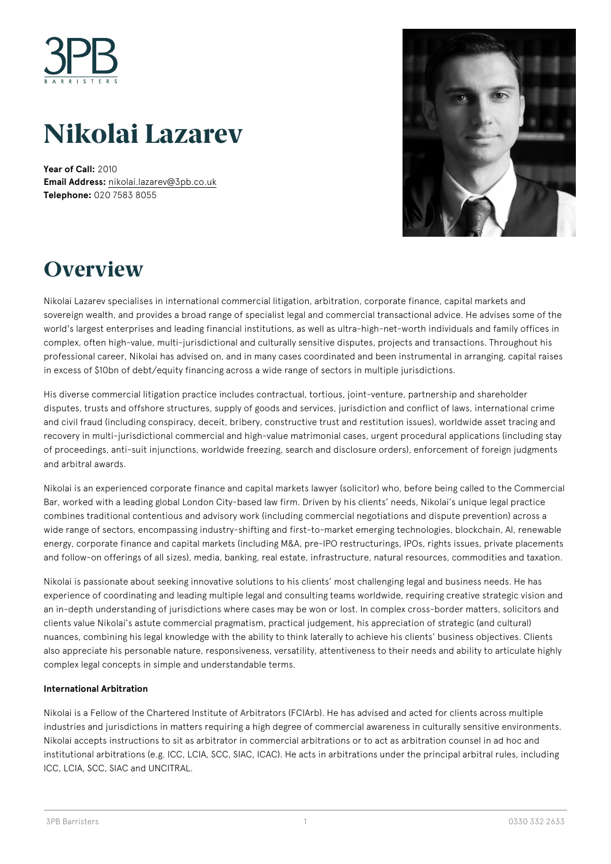

# **Nikolai Lazarev**

**Year of Call:** 2010 **Email Address:** [nikolai.lazarev@3pb.co.uk](mailto:nikolai.lazarev@3pb.co.uk) **Telephone:** 020 7583 8055



## **Overview**

Nikolai Lazarev specialises in international commercial litigation, arbitration, corporate finance, capital markets and sovereign wealth, and provides a broad range of specialist legal and commercial transactional advice. He advises some of the world's largest enterprises and leading financial institutions, as well as ultra-high-net-worth individuals and family offices in complex, often high-value, multi-jurisdictional and culturally sensitive disputes, projects and transactions. Throughout his professional career, Nikolai has advised on, and in many cases coordinated and been instrumental in arranging, capital raises in excess of \$10bn of debt/equity financing across a wide range of sectors in multiple jurisdictions.

His diverse commercial litigation practice includes contractual, tortious, joint-venture, partnership and shareholder disputes, trusts and offshore structures, supply of goods and services, jurisdiction and conflict of laws, international crime and civil fraud (including conspiracy, deceit, bribery, constructive trust and restitution issues), worldwide asset tracing and recovery in multi-jurisdictional commercial and high-value matrimonial cases, urgent procedural applications (including stay of proceedings, anti-suit injunctions, worldwide freezing, search and disclosure orders), enforcement of foreign judgments and arbitral awards.

Nikolai is an experienced corporate finance and capital markets lawyer (solicitor) who, before being called to the Commercial Bar, worked with a leading global London City-based law firm. Driven by his clients' needs, Nikolai's unique legal practice combines traditional contentious and advisory work (including commercial negotiations and dispute prevention) across a wide range of sectors, encompassing industry-shifting and first-to-market emerging technologies, blockchain, AI, renewable energy, corporate finance and capital markets (including M&A, pre-IPO restructurings, IPOs, rights issues, private placements and follow-on offerings of all sizes), media, banking, real estate, infrastructure, natural resources, commodities and taxation.

Nikolai is passionate about seeking innovative solutions to his clients' most challenging legal and business needs. He has experience of coordinating and leading multiple legal and consulting teams worldwide, requiring creative strategic vision and an in-depth understanding of jurisdictions where cases may be won or lost. In complex cross-border matters, solicitors and clients value Nikolai's astute commercial pragmatism, practical judgement, his appreciation of strategic (and cultural) nuances, combining his legal knowledge with the ability to think laterally to achieve his clients' business objectives. Clients also appreciate his personable nature, responsiveness, versatility, attentiveness to their needs and ability to articulate highly complex legal concepts in simple and understandable terms.

### **International Arbitration**

Nikolai is a Fellow of the Chartered Institute of Arbitrators (FCIArb). He has advised and acted for clients across multiple industries and jurisdictions in matters requiring a high degree of commercial awareness in culturally sensitive environments. Nikolai accepts instructions to sit as arbitrator in commercial arbitrations or to act as arbitration counsel in ad hoc and institutional arbitrations (e.g. ICC, LCIA, SCC, SIAC, ICAC). He acts in arbitrations under the principal arbitral rules, including ICC, LCIA, SCC, SIAC and UNCITRAL.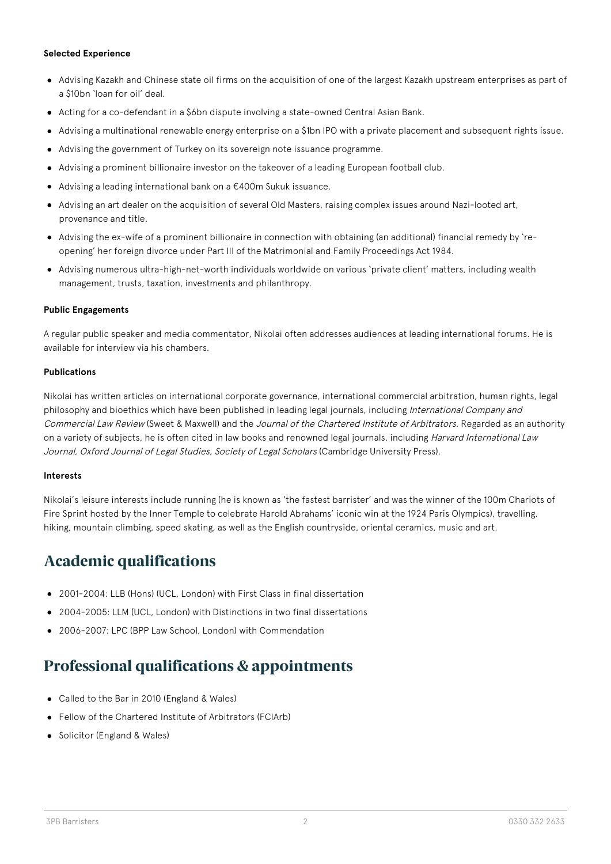### **Selected Experience**

- Advising Kazakh and Chinese state oil firms on the acquisition of one of the largest Kazakh upstream enterprises as part of a \$10bn 'loan for oil' deal.
- Acting for a co-defendant in a \$6bn dispute involving a state-owned Central Asian Bank.
- Advising a multinational renewable energy enterprise on a \$1bn IPO with a private placement and subsequent rights issue.
- Advising the government of Turkey on its sovereign note issuance programme.
- Advising a prominent billionaire investor on the takeover of a leading European football club.
- Advising a leading international bank on a €400m Sukuk issuance.
- Advising an art dealer on the acquisition of several Old Masters, raising complex issues around Nazi-looted art, provenance and title.
- Advising the ex-wife of a prominent billionaire in connection with obtaining (an additional) financial remedy by 'reopening' her foreign divorce under Part III of the Matrimonial and Family Proceedings Act 1984.
- Advising numerous ultra-high-net-worth individuals worldwide on various 'private client' matters, including wealth management, trusts, taxation, investments and philanthropy.

### **Public Engagements**

A regular public speaker and media commentator, Nikolai often addresses audiences at leading international forums. He is available for interview via his chambers.

### **Publications**

Nikolai has written articles on international corporate governance, international commercial arbitration, human rights, legal philosophy and bioethics which have been published in leading legal journals, including International Company and Commercial Law Review (Sweet & Maxwell) and the Journal of the Chartered Institute of Arbitrators. Regarded as an authority on a variety of subjects, he is often cited in law books and renowned legal journals, including *Harvard International Law* Journal, Oxford Journal of Legal Studies, Society of Legal Scholars (Cambridge University Press).

### **Interests**

Nikolai's leisure interests include running (he is known as 'the fastest barrister' and was the winner of the 100m Chariots of Fire Sprint hosted by the Inner Temple to celebrate Harold Abrahams' iconic win at the 1924 Paris Olympics), travelling, hiking, mountain climbing, speed skating, as well as the English countryside, oriental ceramics, music and art.

### **Academic qualifications**

- 2001-2004: LLB (Hons) (UCL, London) with First Class in final dissertation
- 2004-2005: LLM (UCL, London) with Distinctions in two final dissertations
- 2006-2007: LPC (BPP Law School, London) with Commendation

## **Professional qualifications & appointments**

- Called to the Bar in 2010 (England & Wales)
- Fellow of the Chartered Institute of Arbitrators (FCIArb)
- Solicitor (England & Wales)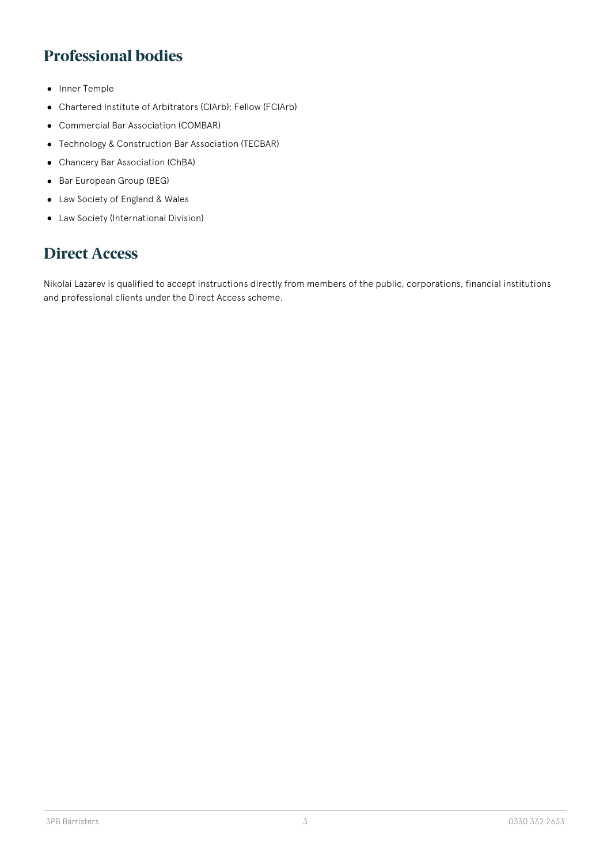## **Professional bodies**

- Inner Temple
- Chartered Institute of Arbitrators (CIArb); Fellow (FCIArb)  $\bullet$
- Commercial Bar Association (COMBAR)
- Technology & Construction Bar Association (TECBAR)
- Chancery Bar Association (ChBA)
- Bar European Group (BEG)
- Law Society of England & Wales
- Law Society (International Division)

## **Direct Access**

Nikolai Lazarev is qualified to accept instructions directly from members of the public, corporations, financial institutions and professional clients under the Direct Access scheme.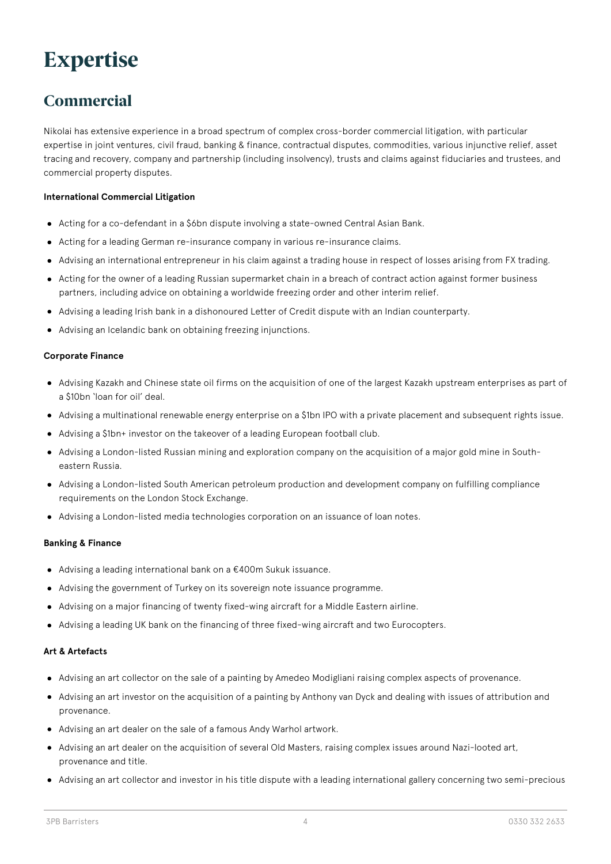## **Expertise**

## **Commercial**

Nikolai has extensive experience in a broad spectrum of complex cross-border commercial litigation, with particular expertise in joint ventures, civil fraud, banking & finance, contractual disputes, commodities, various injunctive relief, asset tracing and recovery, company and partnership (including insolvency), trusts and claims against fiduciaries and trustees, and commercial property disputes.

### **International Commercial Litigation**

- Acting for a co-defendant in a \$6bn dispute involving a state-owned Central Asian Bank.
- Acting for a leading German re-insurance company in various re-insurance claims.
- Advising an international entrepreneur in his claim against a trading house in respect of losses arising from FX trading.
- Acting for the owner of a leading Russian supermarket chain in a breach of contract action against former business partners, including advice on obtaining a worldwide freezing order and other interim relief.
- Advising a leading Irish bank in a dishonoured Letter of Credit dispute with an Indian counterparty.
- Advising an Icelandic bank on obtaining freezing injunctions.

### **Corporate Finance**

- Advising Kazakh and Chinese state oil firms on the acquisition of one of the largest Kazakh upstream enterprises as part of a \$10bn 'loan for oil' deal.
- Advising a multinational renewable energy enterprise on a \$1bn IPO with a private placement and subsequent rights issue.
- Advising a \$1bn+ investor on the takeover of a leading European football club.
- Advising a London-listed Russian mining and exploration company on the acquisition of a major gold mine in Southeastern Russia.
- Advising a London-listed South American petroleum production and development company on fulfilling compliance requirements on the London Stock Exchange.
- Advising a London-listed media technologies corporation on an issuance of loan notes.

### **Banking & Finance**

- Advising a leading international bank on a €400m Sukuk issuance.
- Advising the government of Turkey on its sovereign note issuance programme.
- Advising on a major financing of twenty fixed-wing aircraft for a Middle Eastern airline.
- Advising a leading UK bank on the financing of three fixed-wing aircraft and two Eurocopters.

### **Art & Artefacts**

- Advising an art collector on the sale of a painting by Amedeo Modigliani raising complex aspects of provenance.
- Advising an art investor on the acquisition of a painting by Anthony van Dyck and dealing with issues of attribution and provenance.
- Advising an art dealer on the sale of a famous Andy Warhol artwork.
- Advising an art dealer on the acquisition of several Old Masters, raising complex issues around Nazi-looted art, provenance and title.
- Advising an art collector and investor in his title dispute with a leading international gallery concerning two semi-precious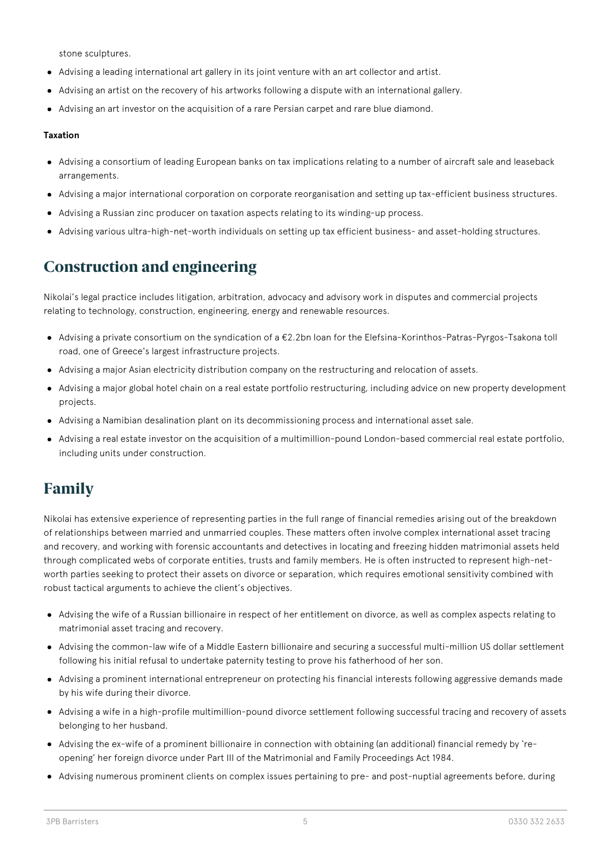stone sculptures.

- Advising a leading international art gallery in its joint venture with an art collector and artist.
- Advising an artist on the recovery of his artworks following a dispute with an international gallery.
- Advising an art investor on the acquisition of a rare Persian carpet and rare blue diamond.

### **Taxation**

- Advising a consortium of leading European banks on tax implications relating to a number of aircraft sale and leaseback arrangements.
- Advising a major international corporation on corporate reorganisation and setting up tax-efficient business structures.
- Advising a Russian zinc producer on taxation aspects relating to its winding-up process.
- Advising various ultra-high-net-worth individuals on setting up tax efficient business- and asset-holding structures.

## **Construction and engineering**

Nikolai's legal practice includes litigation, arbitration, advocacy and advisory work in disputes and commercial projects relating to technology, construction, engineering, energy and renewable resources.

- Advising a private consortium on the syndication of a €2.2bn loan for the Elefsina-Korinthos-Patras-Pyrgos-Tsakona toll road, one of Greece's largest infrastructure projects.
- Advising a major Asian electricity distribution company on the restructuring and relocation of assets.
- Advising a major global hotel chain on a real estate portfolio restructuring, including advice on new property development projects.
- Advising a Namibian desalination plant on its decommissioning process and international asset sale.
- Advising a real estate investor on the acquisition of a multimillion-pound London-based commercial real estate portfolio, including units under construction.

## **Family**

Nikolai has extensive experience of representing parties in the full range of financial remedies arising out of the breakdown of relationships between married and unmarried couples. These matters often involve complex international asset tracing and recovery, and working with forensic accountants and detectives in locating and freezing hidden matrimonial assets held through complicated webs of corporate entities, trusts and family members. He is often instructed to represent high-networth parties seeking to protect their assets on divorce or separation, which requires emotional sensitivity combined with robust tactical arguments to achieve the client's objectives.

- Advising the wife of a Russian billionaire in respect of her entitlement on divorce, as well as complex aspects relating to matrimonial asset tracing and recovery.
- Advising the common-law wife of a Middle Eastern billionaire and securing a successful multi-million US dollar settlement following his initial refusal to undertake paternity testing to prove his fatherhood of her son.
- Advising a prominent international entrepreneur on protecting his financial interests following aggressive demands made by his wife during their divorce.
- Advising a wife in a high-profile multimillion-pound divorce settlement following successful tracing and recovery of assets belonging to her husband.
- Advising the ex-wife of a prominent billionaire in connection with obtaining (an additional) financial remedy by 'reopening' her foreign divorce under Part III of the Matrimonial and Family Proceedings Act 1984.
- Advising numerous prominent clients on complex issues pertaining to pre- and post-nuptial agreements before, during